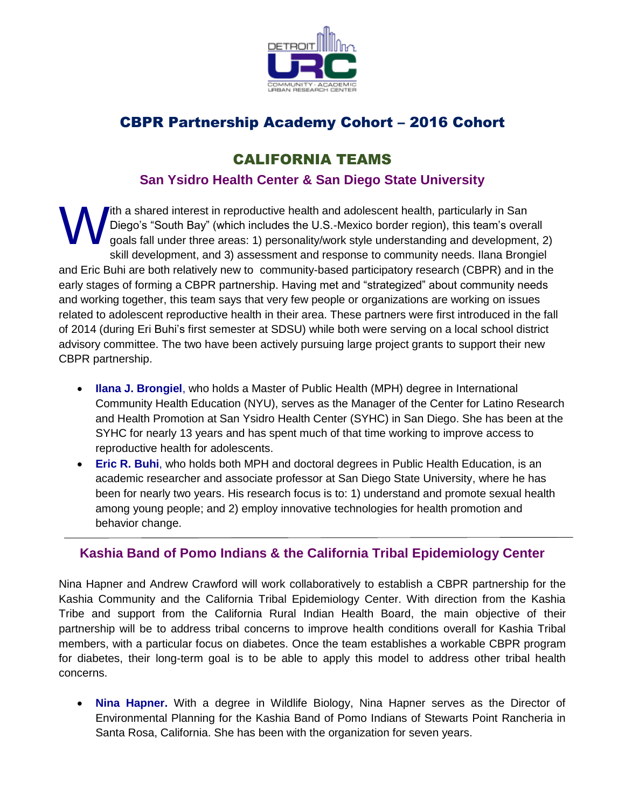

## CBPR Partnership Academy Cohort – 2016 Cohort

## CALIFORNIA TEAMS

#### **San Ysidro Health Center & San Diego State University**

ith a shared interest in reproductive health and adolescent health, particularly in San Diego's "South Bay" (which includes the U.S.-Mexico border region), this team's overall goals fall under three areas: 1) personality/work style understanding and development, 2) skill development, and 3) assessment and response to community needs. Ilana Brongiel and Eric Buhi are both relatively new to community-based participatory research (CBPR) and in the early stages of forming a CBPR partnership. Having met and "strategized" about community needs and working together, this team says that very few people or organizations are working on issues related to adolescent reproductive health in their area. These partners were first introduced in the fall of 2014 (during Eri Buhi's first semester at SDSU) while both were serving on a local school district advisory committee. The two have been actively pursuing large project grants to support their new CBPR partnership. W

- **Ilana J. Brongiel**, who holds a Master of Public Health (MPH) degree in International Community Health Education (NYU), serves as the Manager of the Center for Latino Research and Health Promotion at San Ysidro Health Center (SYHC) in San Diego. She has been at the SYHC for nearly 13 years and has spent much of that time working to improve access to reproductive health for adolescents.
- **Eric R. Buhi**, who holds both MPH and doctoral degrees in Public Health Education, is an academic researcher and associate professor at San Diego State University, where he has been for nearly two years. His research focus is to: 1) understand and promote sexual health among young people; and 2) employ innovative technologies for health promotion and behavior change.

#### **Kashia Band of Pomo Indians & the California Tribal Epidemiology Center**

Nina Hapner and Andrew Crawford will work collaboratively to establish a CBPR partnership for the Kashia Community and the California Tribal Epidemiology Center. With direction from the Kashia Tribe and support from the California Rural Indian Health Board, the main objective of their partnership will be to address tribal concerns to improve health conditions overall for Kashia Tribal members, with a particular focus on diabetes. Once the team establishes a workable CBPR program for diabetes, their long-term goal is to be able to apply this model to address other tribal health concerns.

 **Nina Hapner.** With a degree in Wildlife Biology, Nina Hapner serves as the Director of Environmental Planning for the Kashia Band of Pomo Indians of Stewarts Point Rancheria in Santa Rosa, California. She has been with the organization for seven years.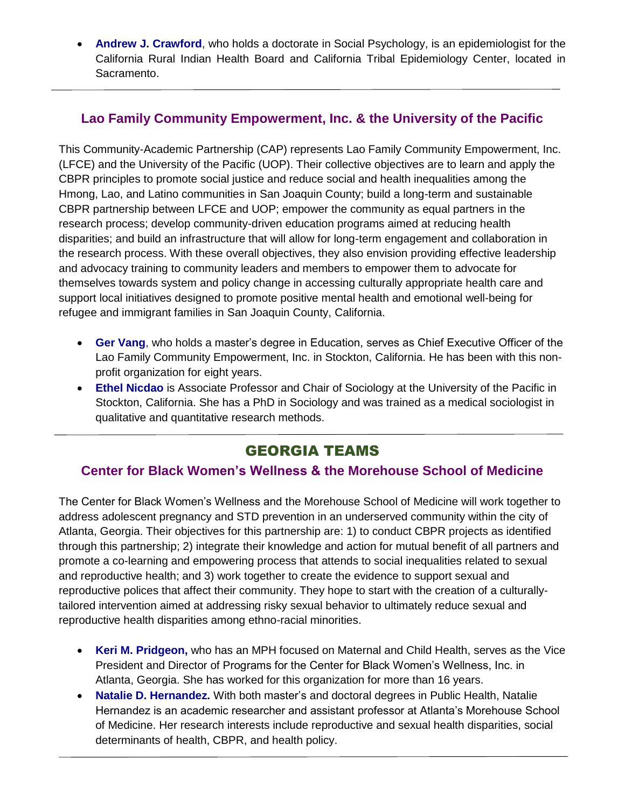**Andrew J. Crawford**, who holds a doctorate in Social Psychology, is an epidemiologist for the California Rural Indian Health Board and California Tribal Epidemiology Center, located in Sacramento.

#### **Lao Family Community Empowerment, Inc. & the University of the Pacific**

This Community-Academic Partnership (CAP) represents Lao Family Community Empowerment, Inc. (LFCE) and the University of the Pacific (UOP). Their collective objectives are to learn and apply the CBPR principles to promote social justice and reduce social and health inequalities among the Hmong, Lao, and Latino communities in San Joaquin County; build a long-term and sustainable CBPR partnership between LFCE and UOP; empower the community as equal partners in the research process; develop community-driven education programs aimed at reducing health disparities; and build an infrastructure that will allow for long-term engagement and collaboration in the research process. With these overall objectives, they also envision providing effective leadership and advocacy training to community leaders and members to empower them to advocate for themselves towards system and policy change in accessing culturally appropriate health care and support local initiatives designed to promote positive mental health and emotional well-being for refugee and immigrant families in San Joaquin County, California.

- **Ger Vang**, who holds a master's degree in Education, serves as Chief Executive Officer of the Lao Family Community Empowerment, Inc. in Stockton, California. He has been with this nonprofit organization for eight years.
- **Ethel Nicdao** is Associate Professor and Chair of Sociology at the University of the Pacific in Stockton, California. She has a PhD in Sociology and was trained as a medical sociologist in qualitative and quantitative research methods.

# GEORGIA TEAMS

#### **Center for Black Women's Wellness & the Morehouse School of Medicine**

The Center for Black Women's Wellness and the Morehouse School of Medicine will work together to address adolescent pregnancy and STD prevention in an underserved community within the city of Atlanta, Georgia. Their objectives for this partnership are: 1) to conduct CBPR projects as identified through this partnership; 2) integrate their knowledge and action for mutual benefit of all partners and promote a co-learning and empowering process that attends to social inequalities related to sexual and reproductive health; and 3) work together to create the evidence to support sexual and reproductive polices that affect their community. They hope to start with the creation of a culturallytailored intervention aimed at addressing risky sexual behavior to ultimately reduce sexual and reproductive health disparities among ethno-racial minorities.

- **Keri M. Pridgeon,** who has an MPH focused on Maternal and Child Health, serves as the Vice President and Director of Programs for the Center for Black Women's Wellness, Inc. in Atlanta, Georgia. She has worked for this organization for more than 16 years.
- **Natalie D. Hernandez.** With both master's and doctoral degrees in Public Health, Natalie Hernandez is an academic researcher and assistant professor at Atlanta's Morehouse School of Medicine. Her research interests include reproductive and sexual health disparities, social determinants of health, CBPR, and health policy.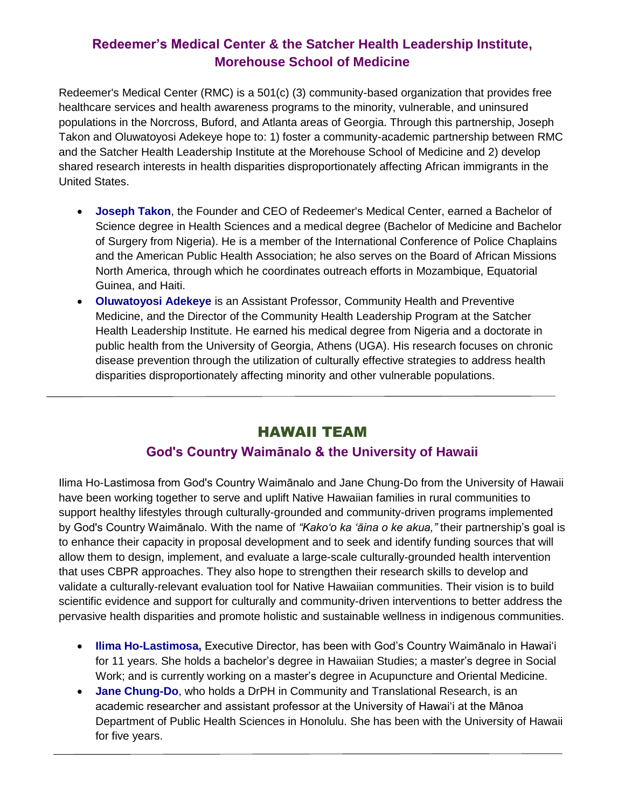### **Redeemer's Medical Center & the Satcher Health Leadership Institute, Morehouse School of Medicine**

Redeemer's Medical Center (RMC) is a 501(c) (3) community-based organization that provides free healthcare services and health awareness programs to the minority, vulnerable, and uninsured populations in the Norcross, Buford, and Atlanta areas of Georgia. Through this partnership, Joseph Takon and Oluwatoyosi Adekeye hope to: 1) foster a community-academic partnership between RMC and the Satcher Health Leadership Institute at the Morehouse School of Medicine and 2) develop shared research interests in health disparities disproportionately affecting African immigrants in the United States.

- **Joseph Takon**, the Founder and CEO of Redeemer's Medical Center, earned a Bachelor of Science degree in Health Sciences and a medical degree (Bachelor of Medicine and Bachelor of Surgery from Nigeria). He is a member of the International Conference of Police Chaplains and the American Public Health Association; he also serves on the Board of African Missions North America, through which he coordinates outreach efforts in Mozambique, Equatorial Guinea, and Haiti.
- **Oluwatoyosi Adekeye** is an Assistant Professor, Community Health and Preventive Medicine, and the Director of the Community Health Leadership Program at the Satcher Health Leadership Institute. He earned his medical degree from Nigeria and a doctorate in public health from the University of Georgia, Athens (UGA). His research focuses on chronic disease prevention through the utilization of culturally effective strategies to address health disparities disproportionately affecting minority and other vulnerable populations.

## HAWAII TEAM

#### **God's Country Waimānalo & the University of Hawaii**

Ilima Ho-Lastimosa from God's Country Waimānalo and Jane Chung-Do from the University of Hawaii have been working together to serve and uplift Native Hawaiian families in rural communities to support healthy lifestyles through culturally-grounded and community-driven programs implemented by God's Country Waimānalo. With the name of *"Kako'o ka 'āina o ke akua,"* their partnership's goal is to enhance their capacity in proposal development and to seek and identify funding sources that will allow them to design, implement, and evaluate a large-scale culturally-grounded health intervention that uses CBPR approaches. They also hope to strengthen their research skills to develop and validate a culturally-relevant evaluation tool for Native Hawaiian communities. Their vision is to build scientific evidence and support for culturally and community-driven interventions to better address the pervasive health disparities and promote holistic and sustainable wellness in indigenous communities.

- **Ilima Ho-Lastimosa,** Executive Director, has been with God's Country Waimānalo in Hawai'i for 11 years. She holds a bachelor's degree in Hawaiian Studies; a master's degree in Social Work; and is currently working on a master's degree in Acupuncture and Oriental Medicine.
- **Jane Chung-Do**, who holds a DrPH in Community and Translational Research, is an academic researcher and assistant professor at the University of Hawai'i at the Mānoa Department of Public Health Sciences in Honolulu. She has been with the University of Hawaii for five years.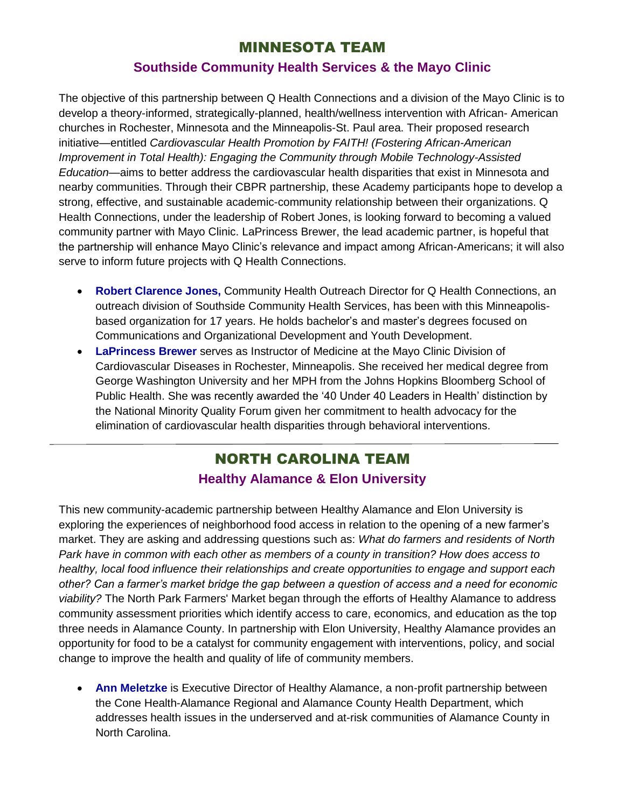#### MINNESOTA TEAM

#### **Southside Community Health Services & the Mayo Clinic**

The objective of this partnership between Q Health Connections and a division of the Mayo Clinic is to develop a theory-informed, strategically-planned, health/wellness intervention with African- American churches in Rochester, Minnesota and the Minneapolis-St. Paul area. Their proposed research initiative—entitled *Cardiovascular Health Promotion by FAITH! (Fostering African-American Improvement in Total Health): Engaging the Community through Mobile Technology-Assisted Education—*aims to better address the cardiovascular health disparities that exist in Minnesota and nearby communities. Through their CBPR partnership, these Academy participants hope to develop a strong, effective, and sustainable academic-community relationship between their organizations. Q Health Connections, under the leadership of Robert Jones, is looking forward to becoming a valued community partner with Mayo Clinic. LaPrincess Brewer, the lead academic partner, is hopeful that the partnership will enhance Mayo Clinic's relevance and impact among African-Americans; it will also serve to inform future projects with Q Health Connections.

- **Robert Clarence Jones,** Community Health Outreach Director for Q Health Connections, an outreach division of Southside Community Health Services, has been with this Minneapolisbased organization for 17 years. He holds bachelor's and master's degrees focused on Communications and Organizational Development and Youth Development.
- **LaPrincess Brewer** serves as Instructor of Medicine at the Mayo Clinic Division of Cardiovascular Diseases in Rochester, Minneapolis. She received her medical degree from George Washington University and her MPH from the Johns Hopkins Bloomberg School of Public Health. She was recently awarded the '40 Under 40 Leaders in Health' distinction by the National Minority Quality Forum given her commitment to health advocacy for the elimination of cardiovascular health disparities through behavioral interventions.

## NORTH CAROLINA TEAM **Healthy Alamance & Elon University**

This new community-academic partnership between Healthy Alamance and Elon University is exploring the experiences of neighborhood food access in relation to the opening of a new farmer's market. They are asking and addressing questions such as: *What do farmers and residents of North Park have in common with each other as members of a county in transition? How does access to healthy, local food influence their relationships and create opportunities to engage and support each other? Can a farmer's market bridge the gap between a question of access and a need for economic viability?* The North Park Farmers' Market began through the efforts of Healthy Alamance to address community assessment priorities which identify access to care, economics, and education as the top three needs in Alamance County. In partnership with Elon University, Healthy Alamance provides an opportunity for food to be a catalyst for community engagement with interventions, policy, and social change to improve the health and quality of life of community members.

 **Ann Meletzke** is Executive Director of Healthy Alamance, a non-profit partnership between the Cone Health-Alamance Regional and Alamance County Health Department, which addresses health issues in the underserved and at-risk communities of Alamance County in North Carolina.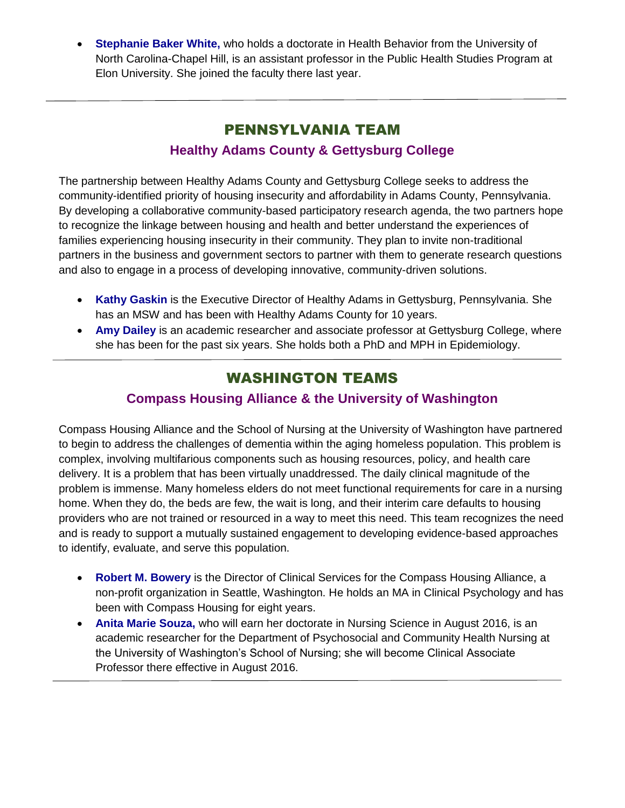**Stephanie Baker White,** who holds a doctorate in Health Behavior from the University of North Carolina-Chapel Hill, is an assistant professor in the Public Health Studies Program at Elon University. She joined the faculty there last year.

# PENNSYLVANIA TEAM

## **Healthy Adams County & Gettysburg College**

The partnership between Healthy Adams County and Gettysburg College seeks to address the community-identified priority of housing insecurity and affordability in Adams County, Pennsylvania. By developing a collaborative community-based participatory research agenda, the two partners hope to recognize the linkage between housing and health and better understand the experiences of families experiencing housing insecurity in their community. They plan to invite non-traditional partners in the business and government sectors to partner with them to generate research questions and also to engage in a process of developing innovative, community-driven solutions.

- **Kathy Gaskin** is the Executive Director of Healthy Adams in Gettysburg, Pennsylvania. She has an MSW and has been with Healthy Adams County for 10 years.
- **Amy Dailey** is an academic researcher and associate professor at Gettysburg College, where she has been for the past six years. She holds both a PhD and MPH in Epidemiology.

## WASHINGTON TEAMS

#### **Compass Housing Alliance & the University of Washington**

Compass Housing Alliance and the School of Nursing at the University of Washington have partnered to begin to address the challenges of dementia within the aging homeless population. This problem is complex, involving multifarious components such as housing resources, policy, and health care delivery. It is a problem that has been virtually unaddressed. The daily clinical magnitude of the problem is immense. Many homeless elders do not meet functional requirements for care in a nursing home. When they do, the beds are few, the wait is long, and their interim care defaults to housing providers who are not trained or resourced in a way to meet this need. This team recognizes the need and is ready to support a mutually sustained engagement to developing evidence-based approaches to identify, evaluate, and serve this population.

- **Robert M. Bowery** is the Director of Clinical Services for the Compass Housing Alliance, a non-profit organization in Seattle, Washington. He holds an MA in Clinical Psychology and has been with Compass Housing for eight years.
- **Anita Marie Souza,** who will earn her doctorate in Nursing Science in August 2016, is an academic researcher for the Department of Psychosocial and Community Health Nursing at the University of Washington's School of Nursing; she will become Clinical Associate Professor there effective in August 2016.